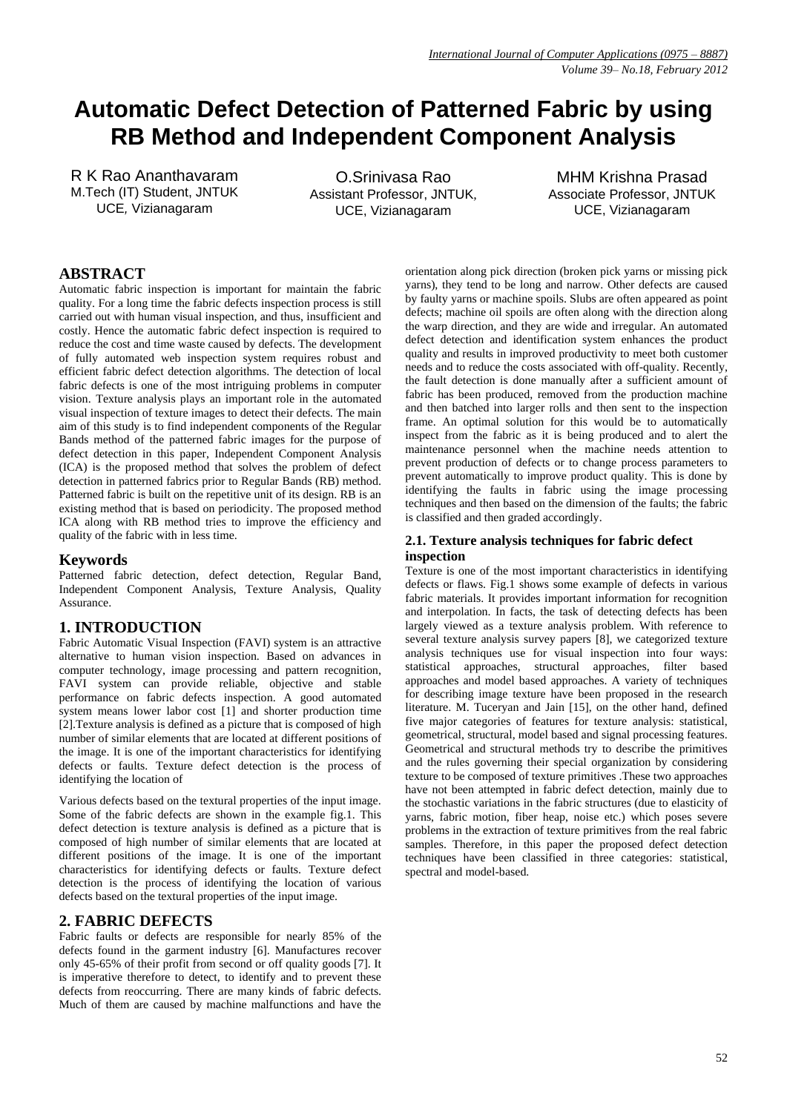# **Automatic Defect Detection of Patterned Fabric by using RB Method and Independent Component Analysis**

R K Rao Ananthavaram M.Tech (IT) Student, JNTUK UCE*,* Vizianagaram

O.Srinivasa Rao Assistant Professor, JNTUK*,* UCE, Vizianagaram

MHM Krishna Prasad Associate Professor, JNTUK UCE, Vizianagaram

## **ABSTRACT**

Automatic fabric inspection is important for maintain the fabric quality. For a long time the fabric defects inspection process is still carried out with human visual inspection, and thus, insufficient and costly. Hence the automatic fabric defect inspection is required to reduce the cost and time waste caused by defects. The development of fully automated web inspection system requires robust and efficient fabric defect detection algorithms. The detection of local fabric defects is one of the most intriguing problems in computer vision. Texture analysis plays an important role in the automated visual inspection of texture images to detect their defects. The main aim of this study is to find independent components of the Regular Bands method of the patterned fabric images for the purpose of defect detection in this paper, Independent Component Analysis (ICA) is the proposed method that solves the problem of defect detection in patterned fabrics prior to Regular Bands (RB) method. Patterned fabric is built on the repetitive unit of its design. RB is an existing method that is based on periodicity. The proposed method ICA along with RB method tries to improve the efficiency and quality of the fabric with in less time.

#### **Keywords**

Patterned fabric detection, defect detection, Regular Band, Independent Component Analysis, Texture Analysis, Quality Assurance.

## **1. INTRODUCTION**

Fabric Automatic Visual Inspection (FAVI) system is an attractive alternative to human vision inspection. Based on advances in computer technology, image processing and pattern recognition, FAVI system can provide reliable, objective and stable performance on fabric defects inspection. A good automated system means lower labor cost [1] and shorter production time [2].Texture analysis is defined as a picture that is composed of high number of similar elements that are located at different positions of the image. It is one of the important characteristics for identifying defects or faults. Texture defect detection is the process of identifying the location of

Various defects based on the textural properties of the input image. Some of the fabric defects are shown in the example fig.1. This defect detection is texture analysis is defined as a picture that is composed of high number of similar elements that are located at different positions of the image. It is one of the important characteristics for identifying defects or faults. Texture defect detection is the process of identifying the location of various defects based on the textural properties of the input image.

## **2. FABRIC DEFECTS**

Fabric faults or defects are responsible for nearly 85% of the defects found in the garment industry [6]. Manufactures recover only 45-65% of their profit from second or off quality goods [7]. It is imperative therefore to detect, to identify and to prevent these defects from reoccurring. There are many kinds of fabric defects. Much of them are caused by machine malfunctions and have the orientation along pick direction (broken pick yarns or missing pick yarns), they tend to be long and narrow. Other defects are caused by faulty yarns or machine spoils. Slubs are often appeared as point defects; machine oil spoils are often along with the direction along the warp direction, and they are wide and irregular. An automated defect detection and identification system enhances the product quality and results in improved productivity to meet both customer needs and to reduce the costs associated with off-quality. Recently, the fault detection is done manually after a sufficient amount of fabric has been produced, removed from the production machine and then batched into larger rolls and then sent to the inspection frame. An optimal solution for this would be to automatically inspect from the fabric as it is being produced and to alert the maintenance personnel when the machine needs attention to prevent production of defects or to change process parameters to prevent automatically to improve product quality. This is done by identifying the faults in fabric using the image processing techniques and then based on the dimension of the faults; the fabric is classified and then graded accordingly.

#### **2.1. Texture analysis techniques for fabric defect inspection**

Texture is one of the most important characteristics in identifying defects or flaws. Fig.1 shows some example of defects in various fabric materials. It provides important information for recognition and interpolation. In facts, the task of detecting defects has been largely viewed as a texture analysis problem. With reference to several texture analysis survey papers [8], we categorized texture analysis techniques use for visual inspection into four ways: statistical approaches, structural approaches, filter based approaches and model based approaches. A variety of techniques for describing image texture have been proposed in the research literature. M. Tuceryan and Jain [15], on the other hand, defined five major categories of features for texture analysis: statistical, geometrical, structural, model based and signal processing features. Geometrical and structural methods try to describe the primitives and the rules governing their special organization by considering texture to be composed of texture primitives .These two approaches have not been attempted in fabric defect detection, mainly due to the stochastic variations in the fabric structures (due to elasticity of yarns, fabric motion, fiber heap, noise etc.) which poses severe problems in the extraction of texture primitives from the real fabric samples. Therefore, in this paper the proposed defect detection techniques have been classified in three categories: statistical, spectral and model-based.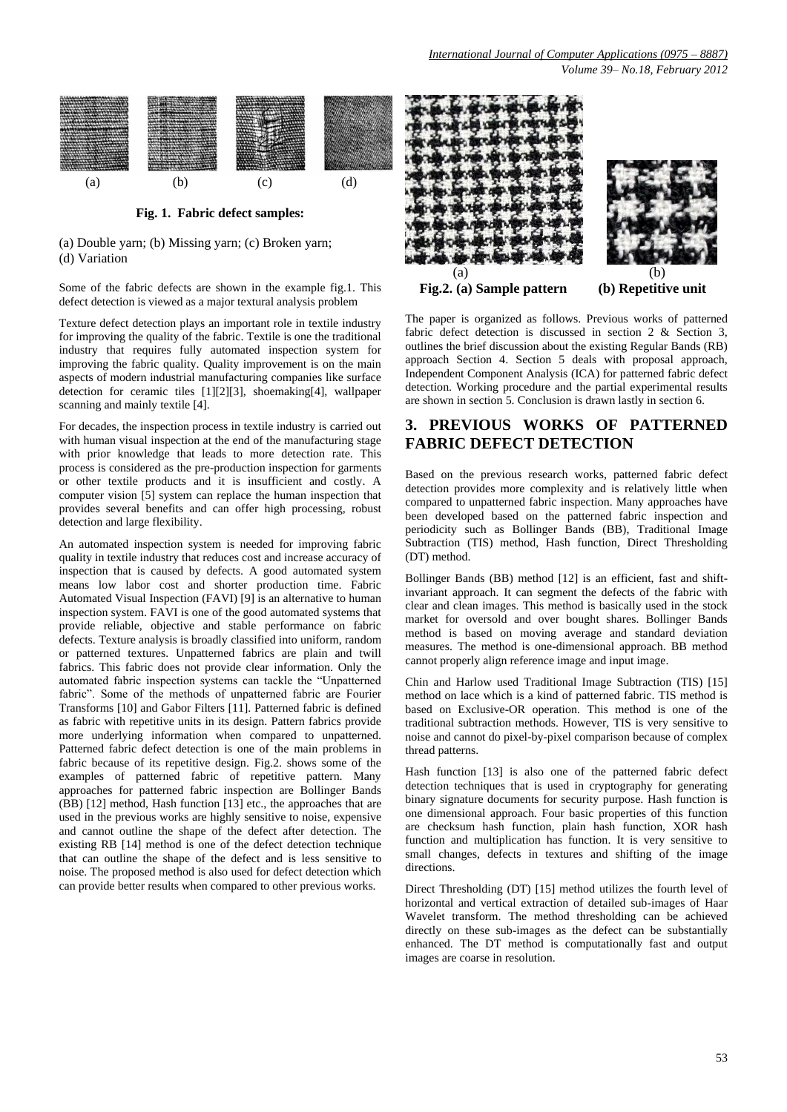

**Fig. 1. Fabric defect samples:**

(a) Double yarn; (b) Missing yarn; (c) Broken yarn; (d) Variation

Some of the fabric defects are shown in the example fig.1. This defect detection is viewed as a major textural analysis problem

Texture defect detection plays an important role in textile industry for improving the quality of the fabric. Textile is one the traditional industry that requires fully automated inspection system for improving the fabric quality. Quality improvement is on the main aspects of modern industrial manufacturing companies like surface detection for ceramic tiles [1][2][3], shoemaking[4], wallpaper scanning and mainly textile [4].

For decades, the inspection process in textile industry is carried out with human visual inspection at the end of the manufacturing stage with prior knowledge that leads to more detection rate. This process is considered as the pre-production inspection for garments or other textile products and it is insufficient and costly. A computer vision [5] system can replace the human inspection that provides several benefits and can offer high processing, robust detection and large flexibility.

An automated inspection system is needed for improving fabric quality in textile industry that reduces cost and increase accuracy of inspection that is caused by defects. A good automated system means low labor cost and shorter production time. Fabric Automated Visual Inspection (FAVI) [9] is an alternative to human inspection system. FAVI is one of the good automated systems that provide reliable, objective and stable performance on fabric defects. Texture analysis is broadly classified into uniform, random or patterned textures. Unpatterned fabrics are plain and twill fabrics. This fabric does not provide clear information. Only the automated fabric inspection systems can tackle the "Unpatterned fabric". Some of the methods of unpatterned fabric are Fourier Transforms [10] and Gabor Filters [11]. Patterned fabric is defined as fabric with repetitive units in its design. Pattern fabrics provide more underlying information when compared to unpatterned. Patterned fabric defect detection is one of the main problems in fabric because of its repetitive design. Fig.2. shows some of the examples of patterned fabric of repetitive pattern. Many approaches for patterned fabric inspection are Bollinger Bands (BB) [12] method, Hash function [13] etc., the approaches that are used in the previous works are highly sensitive to noise, expensive and cannot outline the shape of the defect after detection. The existing RB [14] method is one of the defect detection technique that can outline the shape of the defect and is less sensitive to noise. The proposed method is also used for defect detection which can provide better results when compared to other previous works.



The paper is organized as follows. Previous works of patterned fabric defect detection is discussed in section 2 & Section 3, outlines the brief discussion about the existing Regular Bands (RB) approach Section 4. Section 5 deals with proposal approach, Independent Component Analysis (ICA) for patterned fabric defect detection. Working procedure and the partial experimental results are shown in section 5. Conclusion is drawn lastly in section 6.

## **3. PREVIOUS WORKS OF PATTERNED FABRIC DEFECT DETECTION**

Based on the previous research works, patterned fabric defect detection provides more complexity and is relatively little when compared to unpatterned fabric inspection. Many approaches have been developed based on the patterned fabric inspection and periodicity such as Bollinger Bands (BB), Traditional Image Subtraction (TIS) method, Hash function, Direct Thresholding (DT) method.

Bollinger Bands (BB) method [12] is an efficient, fast and shiftinvariant approach. It can segment the defects of the fabric with clear and clean images. This method is basically used in the stock market for oversold and over bought shares. Bollinger Bands method is based on moving average and standard deviation measures. The method is one-dimensional approach. BB method cannot properly align reference image and input image.

Chin and Harlow used Traditional Image Subtraction (TIS) [15] method on lace which is a kind of patterned fabric. TIS method is based on Exclusive-OR operation. This method is one of the traditional subtraction methods. However, TIS is very sensitive to noise and cannot do pixel-by-pixel comparison because of complex thread patterns.

Hash function [13] is also one of the patterned fabric defect detection techniques that is used in cryptography for generating binary signature documents for security purpose. Hash function is one dimensional approach. Four basic properties of this function are checksum hash function, plain hash function, XOR hash function and multiplication has function. It is very sensitive to small changes, defects in textures and shifting of the image directions.

Direct Thresholding (DT) [15] method utilizes the fourth level of horizontal and vertical extraction of detailed sub-images of Haar Wavelet transform. The method thresholding can be achieved directly on these sub-images as the defect can be substantially enhanced. The DT method is computationally fast and output images are coarse in resolution.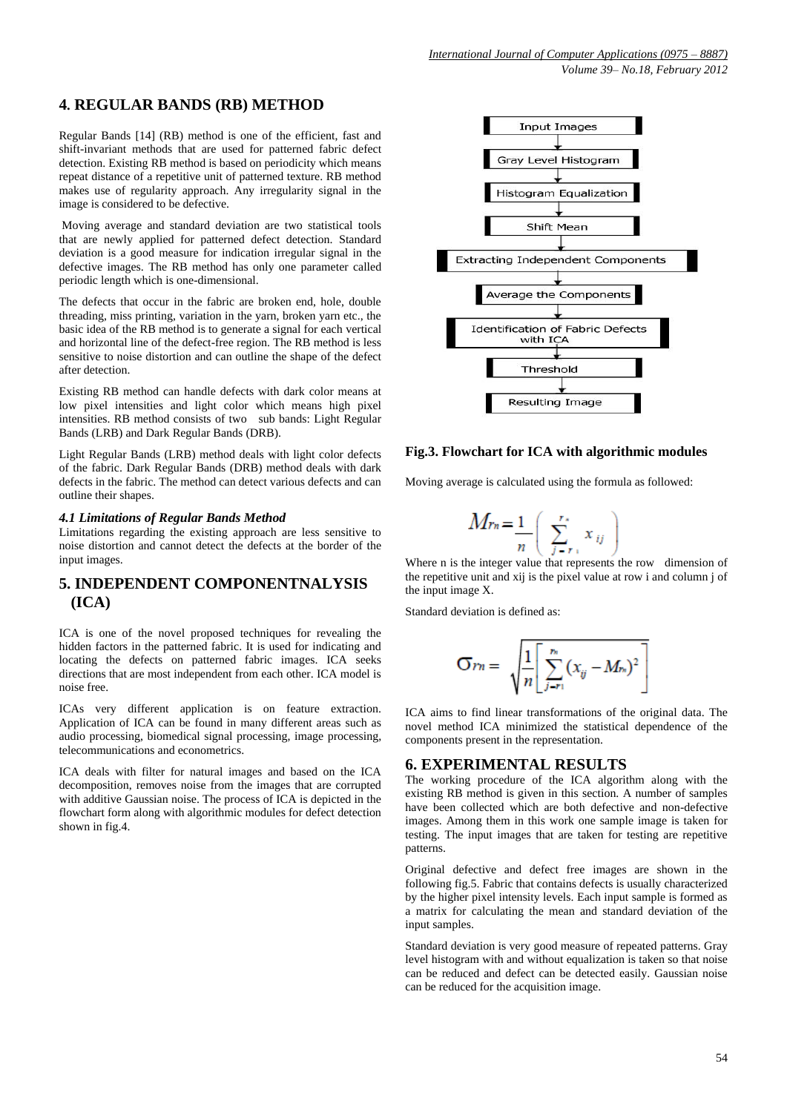## **4. REGULAR BANDS (RB) METHOD**

Regular Bands [14] (RB) method is one of the efficient, fast and shift-invariant methods that are used for patterned fabric defect detection. Existing RB method is based on periodicity which means repeat distance of a repetitive unit of patterned texture. RB method makes use of regularity approach. Any irregularity signal in the image is considered to be defective.

Moving average and standard deviation are two statistical tools that are newly applied for patterned defect detection. Standard deviation is a good measure for indication irregular signal in the defective images. The RB method has only one parameter called periodic length which is one-dimensional.

The defects that occur in the fabric are broken end, hole, double threading, miss printing, variation in the yarn, broken yarn etc., the basic idea of the RB method is to generate a signal for each vertical and horizontal line of the defect-free region. The RB method is less sensitive to noise distortion and can outline the shape of the defect after detection.

Existing RB method can handle defects with dark color means at low pixel intensities and light color which means high pixel intensities. RB method consists of two sub bands: Light Regular Bands (LRB) and Dark Regular Bands (DRB).

Light Regular Bands (LRB) method deals with light color defects of the fabric. Dark Regular Bands (DRB) method deals with dark defects in the fabric. The method can detect various defects and can outline their shapes.

#### *4.1 Limitations of Regular Bands Method*

Limitations regarding the existing approach are less sensitive to noise distortion and cannot detect the defects at the border of the input images.

## **5. INDEPENDENT COMPONENTNALYSIS (ICA)**

ICA is one of the novel proposed techniques for revealing the hidden factors in the patterned fabric. It is used for indicating and locating the defects on patterned fabric images. ICA seeks directions that are most independent from each other. ICA model is noise free.

ICAs very different application is on feature extraction. Application of ICA can be found in many different areas such as audio processing, biomedical signal processing, image processing, telecommunications and econometrics.

ICA deals with filter for natural images and based on the ICA decomposition, removes noise from the images that are corrupted with additive Gaussian noise. The process of ICA is depicted in the flowchart form along with algorithmic modules for defect detection shown in fig.4.



#### **Fig.3. Flowchart for ICA with algorithmic modules**

Moving average is calculated using the formula as followed:

$$
M_{rn} = \frac{1}{n} \left( \sum_{j=r_1}^{r_s} x_{ij} \right)
$$

Where n is the integer value that represents the row dimension of the repetitive unit and xij is the pixel value at row i and column j of the input image X.

Standard deviation is defined as:

Ï

$$
\sigma_{rn} = \sqrt{\frac{1}{n} \left[ \sum_{j=r_1}^{r_n} (x_{ij} - M_{rs})^2 \right]}
$$

 ICA aims to find linear transformations of the original data. The novel method ICA minimized the statistical dependence of the components present in the representation.

## **6. EXPERIMENTAL RESULTS**

The working procedure of the ICA algorithm along with the existing RB method is given in this section. A number of samples have been collected which are both defective and non-defective images. Among them in this work one sample image is taken for testing. The input images that are taken for testing are repetitive patterns.

Original defective and defect free images are shown in the following fig.5. Fabric that contains defects is usually characterized by the higher pixel intensity levels. Each input sample is formed as a matrix for calculating the mean and standard deviation of the input samples.

Standard deviation is very good measure of repeated patterns. Gray level histogram with and without equalization is taken so that noise can be reduced and defect can be detected easily. Gaussian noise can be reduced for the acquisition image.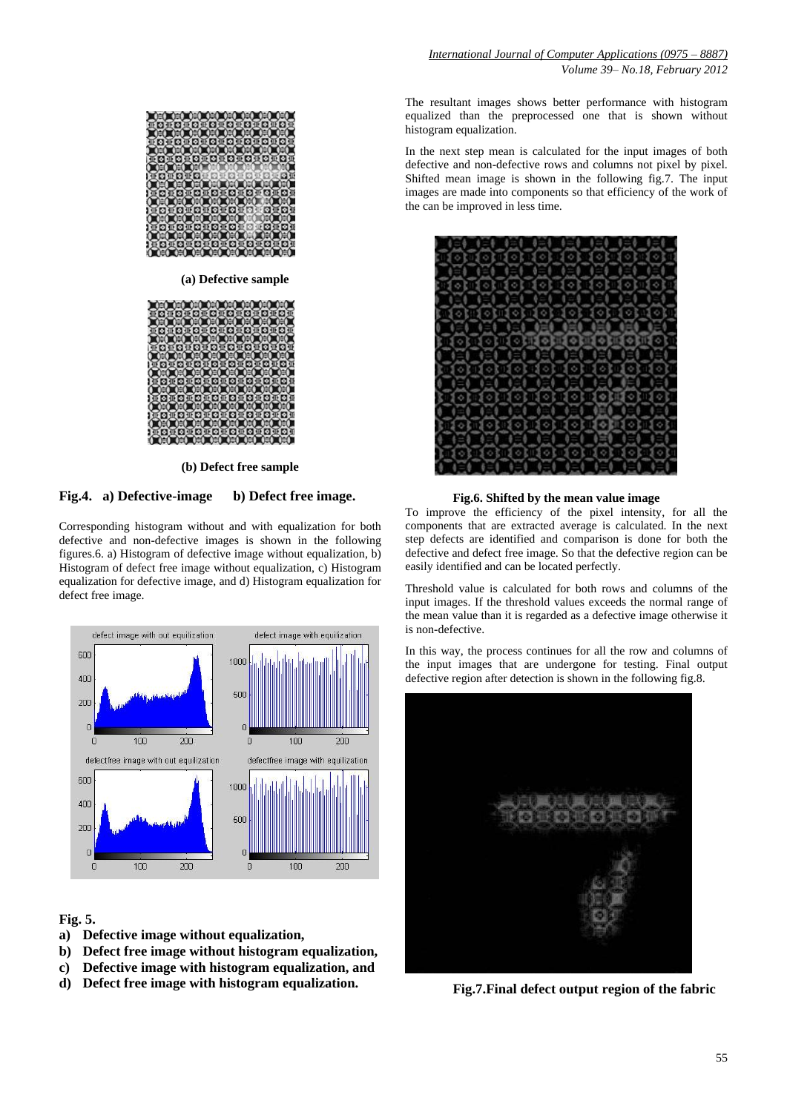

 **(b) Defect free sample**

#### **Fig.4. a) Defective-image b) Defect free image.**

Corresponding histogram without and with equalization for both defective and non-defective images is shown in the following figures.6. a) Histogram of defective image without equalization, b) Histogram of defect free image without equalization, c) Histogram equalization for defective image, and d) Histogram equalization for defect free image.



#### **Fig. 5.**

- **a) Defective image without equalization,**
- **b) Defect free image without histogram equalization,**
- **c) Defective image with histogram equalization, and**
- **d) Defect free image with histogram equalization.**

The resultant images shows better performance with histogram equalized than the preprocessed one that is shown without histogram equalization.

In the next step mean is calculated for the input images of both defective and non-defective rows and columns not pixel by pixel. Shifted mean image is shown in the following fig.7. The input images are made into components so that efficiency of the work of the can be improved in less time.



### **Fig.6. Shifted by the mean value image**

To improve the efficiency of the pixel intensity, for all the components that are extracted average is calculated. In the next step defects are identified and comparison is done for both the defective and defect free image. So that the defective region can be easily identified and can be located perfectly.

Threshold value is calculated for both rows and columns of the input images. If the threshold values exceeds the normal range of the mean value than it is regarded as a defective image otherwise it is non-defective.

In this way, the process continues for all the row and columns of the input images that are undergone for testing. Final output defective region after detection is shown in the following fig.8.



**Fig.7.Final defect output region of the fabric**